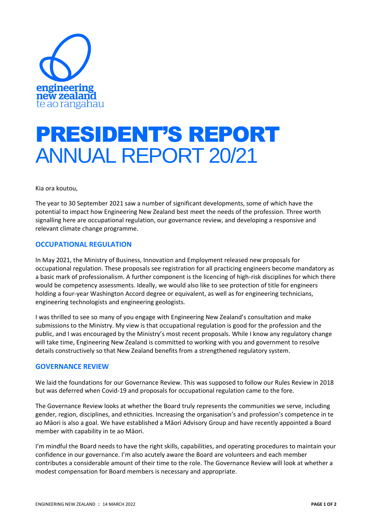

## PRESIDENT'S REPORT ANNUAL REPORT 20/21

Kia ora koutou,

The year to 30 September 2021 saw a number of significant developments, some of which have the potential to impact how Engineering New Zealand best meet the needs of the profession. Three worth signalling here are occupational regulation, our governance review, and developing a responsive and relevant climate change programme.

## **OCCUPATIONAL REGULATION**

In May 2021, the Ministry of Business, Innovation and Employment released new proposals for occupational regulation. These proposals see registration for all practicing engineers become mandatory as a basic mark of professionalism. A further component is the licencing of high-risk disciplines for which there would be competency assessments. Ideally, we would also like to see protection of title for engineers holding a four-year Washington Accord degree or equivalent, as well as for engineering technicians, engineering technologists and engineering geologists.

I was thrilled to see so many of you engage with Engineering New Zealand's consultation and make submissions to the Ministry. My view is that occupational regulation is good for the profession and the public, and I was encouraged by the Ministry's most recent proposals. While I know any regulatory change will take time, Engineering New Zealand is committed to working with you and government to resolve details constructively so that New Zealand benefits from a strengthened regulatory system.

## **GOVERNANCE REVIEW**

We laid the foundations for our Governance Review. This was supposed to follow our Rules Review in 2018 but was deferred when Covid-19 and proposals for occupational regulation came to the fore.

The Governance Review looks at whether the Board truly represents the communities we serve, including gender, region, disciplines, and ethnicities. Increasing the organisation's and profession's competence in te ao Māori is also a goal. We have established a Māori Advisory Group and have recently appointed a Board member with capability in te ao Māori.

I'm mindful the Board needs to have the right skills, capabilities, and operating procedures to maintain your confidence in our governance. I'm also acutely aware the Board are volunteers and each member contributes a considerable amount of their time to the role. The Governance Review will look at whether a modest compensation for Board members is necessary and appropriate.